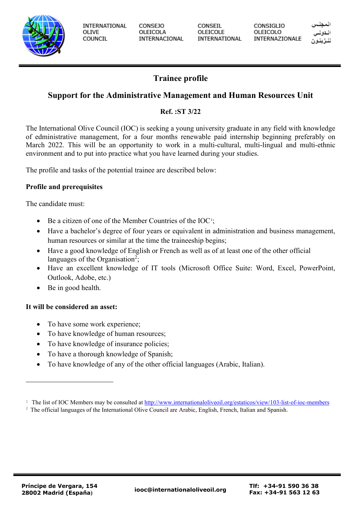

**INTERNATIONAL** OLIVE COUNCIL

**CONSEJO** OLEICOLA INTERNACIONAL CONSEIL OLEICOLE INTERNATIONAL CONSIGLIO OLEICOLO INTERNAZIONALE

# **Trainee profile**

# **Support for the Administrative Management and Human Resources Unit**

## **Ref. :ST 3/22**

The International Olive Council (IOC) is seeking a young university graduate in any field with knowledge of edministrative management, for a four months renewable paid internship beginning preferably on March 2022. This will be an opportunity to work in a multi-cultural, multi-lingual and multi-ethnic environment and to put into practice what you have learned during your studies.

The profile and tasks of the potential trainee are described below:

## **Profile and prerequisites**

The candidate must:

- Be a citizen of one of the Member Countries of the IOC<sup>[1](#page-0-0)</sup>;
- Have a bachelor's degree of four years or equivalent in administration and business management, human resources or similar at the time the traineeship begins;
- Have a good knowledge of English or French as well as of at least one of the other official languages of the Organisation<sup>2</sup>;
- Have an excellent knowledge of IT tools (Microsoft Office Suite: Word, Excel, PowerPoint, Outlook, Adobe, etc.)
- Be in good health.

## **It will be considered an asset:**

- To have some work experience;
- To have knowledge of human resources;
- To have knowledge of insurance policies;
- To have a thorough knowledge of Spanish;
- To have knowledge of any of the other official languages (Arabic, Italian).

<span id="page-0-0"></span><sup>&</sup>lt;sup>1</sup> The list of IOC Members may be consulted at<http://www.internationaloliveoil.org/estaticos/view/103-list-of-ioc-members>

<sup>&</sup>lt;sup>2</sup> The official languages of the International Olive Council are Arabic, English, French, Italian and Spanish.